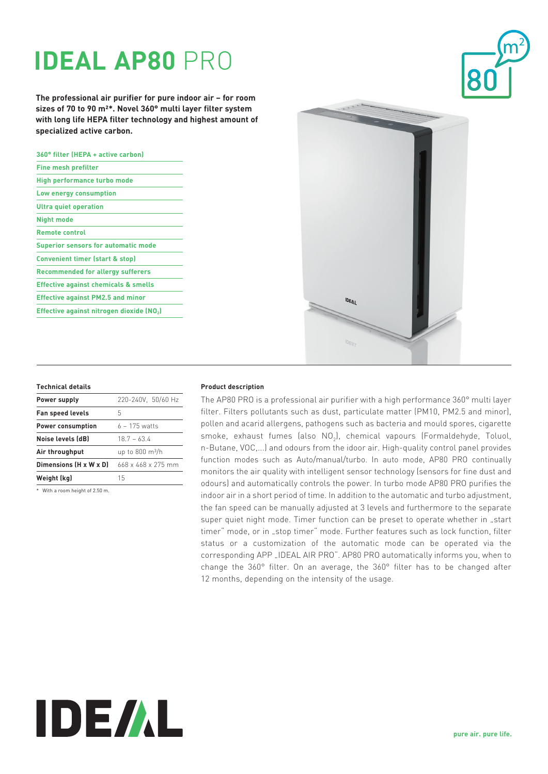# **IDEAL AP80** PRO

**The professional air purifier for pure indoor air – for room sizes of 70 to 90 m²\*. Novel 360° multi layer filter system with long life HEPA filter technology and highest amount of specialized active carbon.**

| 360° filter (HEPA + active carbon)              |
|-------------------------------------------------|
| <b>Fine mesh prefilter</b>                      |
| High performance turbo mode                     |
| Low energy consumption                          |
| <b>Ultra quiet operation</b>                    |
| <b>Night mode</b>                               |
| <b>Remote control</b>                           |
| <b>Superior sensors for automatic mode</b>      |
| <b>Convenient timer (start &amp; stop)</b>      |
| <b>Recommended for allergy sufferers</b>        |
| <b>Effective against chemicals &amp; smells</b> |
| <b>Effective against PM2.5 and minor</b>        |
| Effective against nitrogen dioxide (NO2)        |



| Power supply             | 220-240V. 50/60 Hz             |
|--------------------------|--------------------------------|
| <b>Fan speed levels</b>  | 5                              |
| <b>Power consumption</b> | $6 - 175$ watts                |
| Noise levels (dB)        | $18.7 - 63.4$                  |
| Air throughput           | up to $800 \text{ m}^3/h$      |
| Dimensions (H x W x D)   | $668 \times 468 \times 275$ mm |
| Weight (kg)              | 15                             |
|                          |                                |

\* With a room height of 2.50 m.

## **Product description**

The AP80 PRO is a professional air purifier with a high performance 360° multi layer filter. Filters pollutants such as dust, particulate matter (PM10, PM2.5 and minor), pollen and acarid allergens, pathogens such as bacteria and mould spores, cigarette smoke, exhaust fumes (also  $\mathsf{NO}_2$ ), chemical vapours (Formaldehyde, Toluol, n-Butane, VOC,...) and odours from the idoor air. High-quality control panel provides function modes such as Auto/manual/turbo. In auto mode, AP80 PRO continually monitors the air quality with intelligent sensor technology (sensors for fine dust and odours) and automatically controls the power. In turbo mode AP80 PRO purifies the indoor air in a short period of time. In addition to the automatic and turbo adjustment, the fan speed can be manually adjusted at 3 levels and furthermore to the separate super quiet night mode. Timer function can be preset to operate whether in "start timer" mode, or in "stop timer" mode. Further features such as lock function, filter status or a customization of the automatic mode can be operated via the corresponding APP "IDEAL AIR PRO". AP80 PRO automatically informs you, when to change the 360° filter. On an average, the 360° filter has to be changed after 12 months, depending on the intensity of the usage.